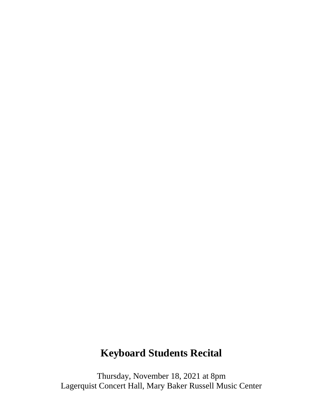## **Keyboard Students Recital**

Thursday, November 18, 2021 at 8pm Lagerquist Concert Hall, Mary Baker Russell Music Center